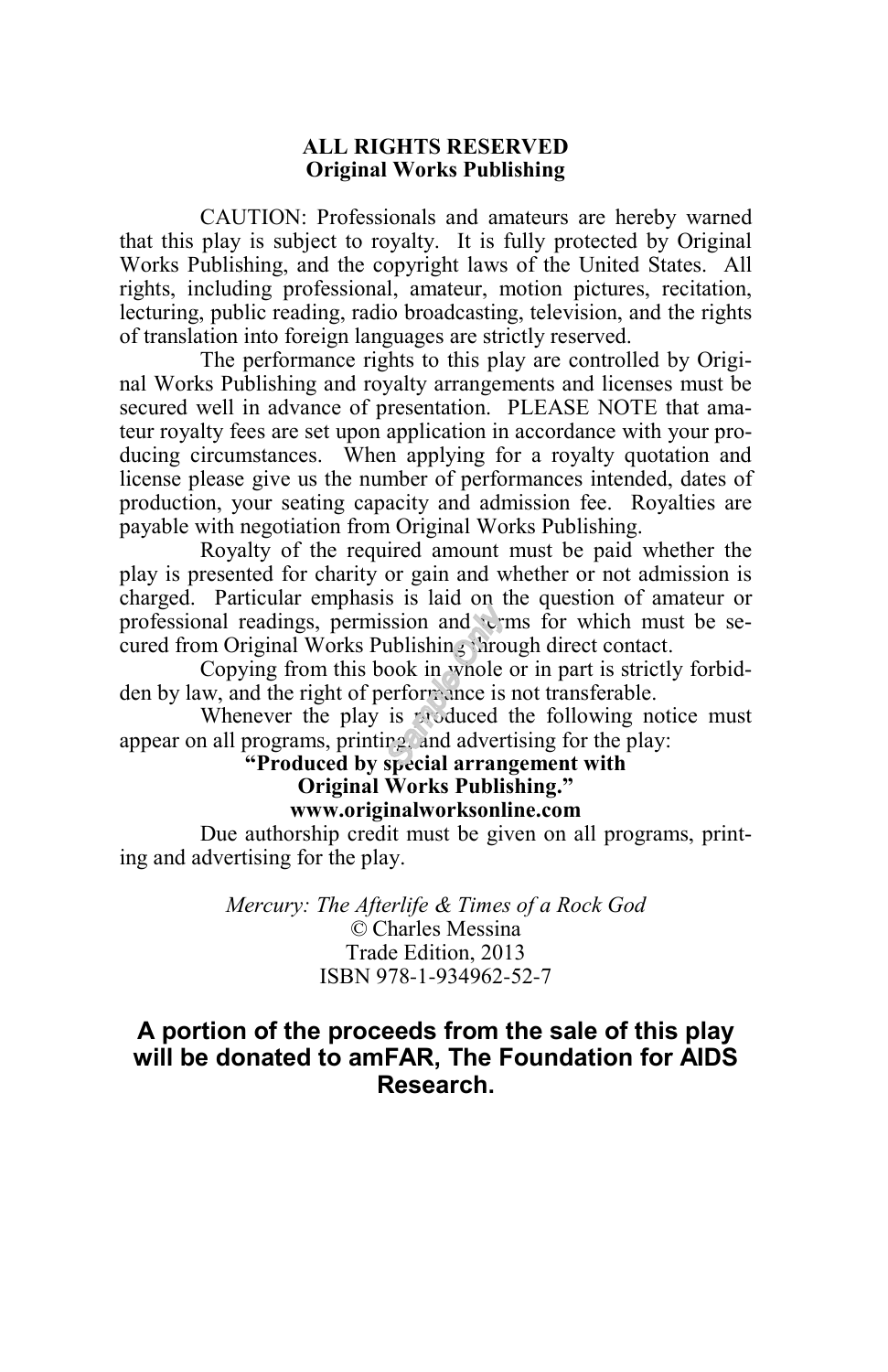#### **ALL RIGHTS RESERVED Original Works Publishing**

CAUTION: Professionals and amateurs are hereby warned that this play is subject to royalty. It is fully protected by Original Works Publishing, and the copyright laws of the United States. All rights, including professional, amateur, motion pictures, recitation, lecturing, public reading, radio broadcasting, television, and the rights of translation into foreign languages are strictly reserved.

The performance rights to this play are controlled by Original Works Publishing and royalty arrangements and licenses must be secured well in advance of presentation. PLEASE NOTE that amateur royalty fees are set upon application in accordance with your producing circumstances. When applying for a royalty quotation and license please give us the number of performances intended, dates of production, your seating capacity and admission fee. Royalties are payable with negotiation from Original Works Publishing.

Royalty of the required amount must be paid whether the play is presented for charity or gain and whether or not admission is charged. Particular emphasis is laid on the question of amateur or professional readings, permission and terms for which must be secured from Original Works Publishing through direct contact.

Copying from this book in whole or in part is strictly forbidden by law, and the right of performance is not transferable.

Whenever the play is produced the following notice must appear on all programs, printing, and advertising for the play:

#### **"Produced by special arrangement with Original Works Publishing."**

#### **www.originalworksonline.com**

Due authorship credit must be given on all programs, printing and advertising for the play.

> *Mercury: The Afterlife & Times of a Rock God ©* Charles Messina Trade Edition, 2013 ISBN 978-1-934962-52-7

#### **A portion of the proceeds from the sale of this play will be donated to amFAR, The Foundation for AIDS Research.**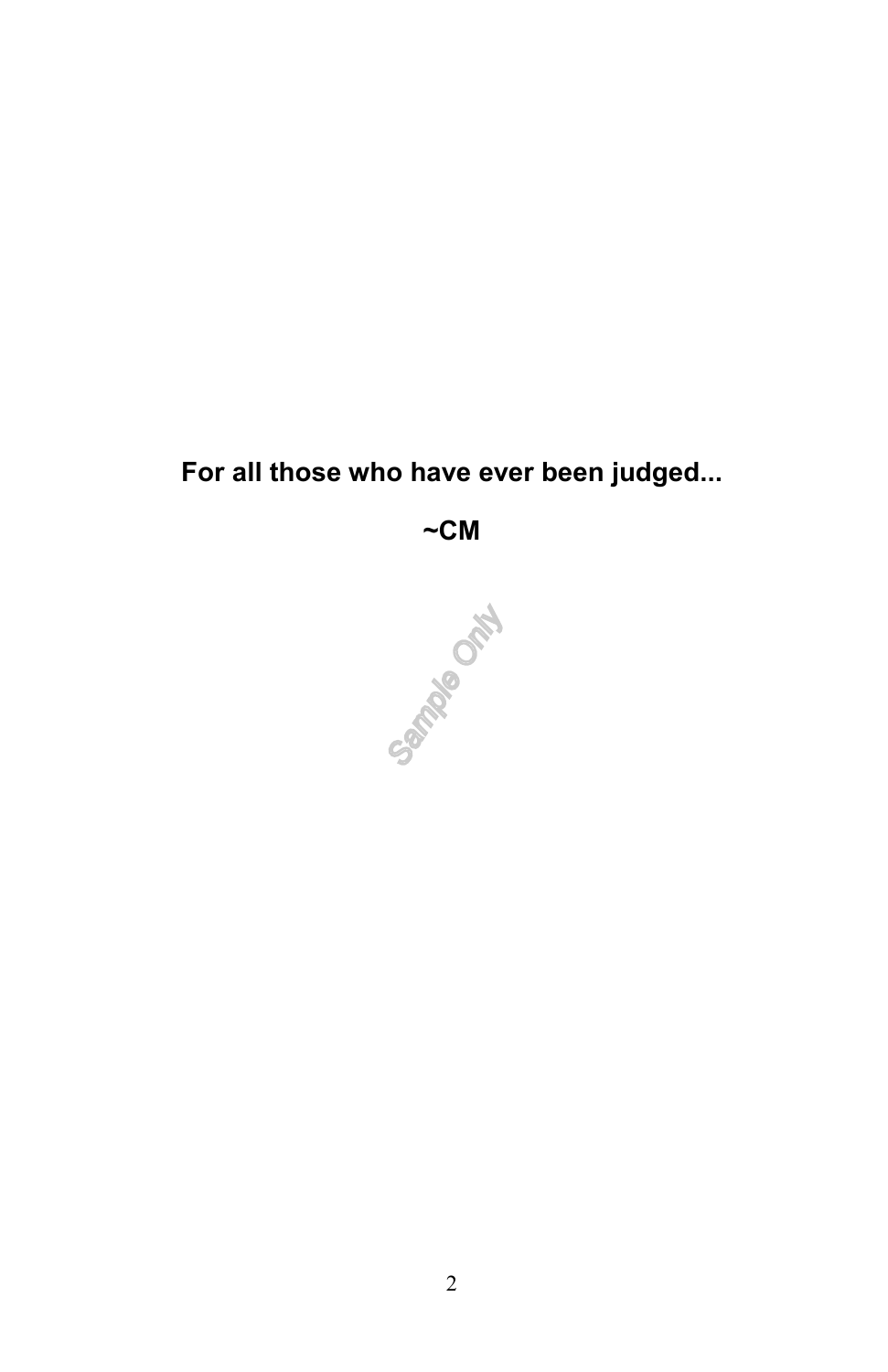# **For all those who have ever been judged...**

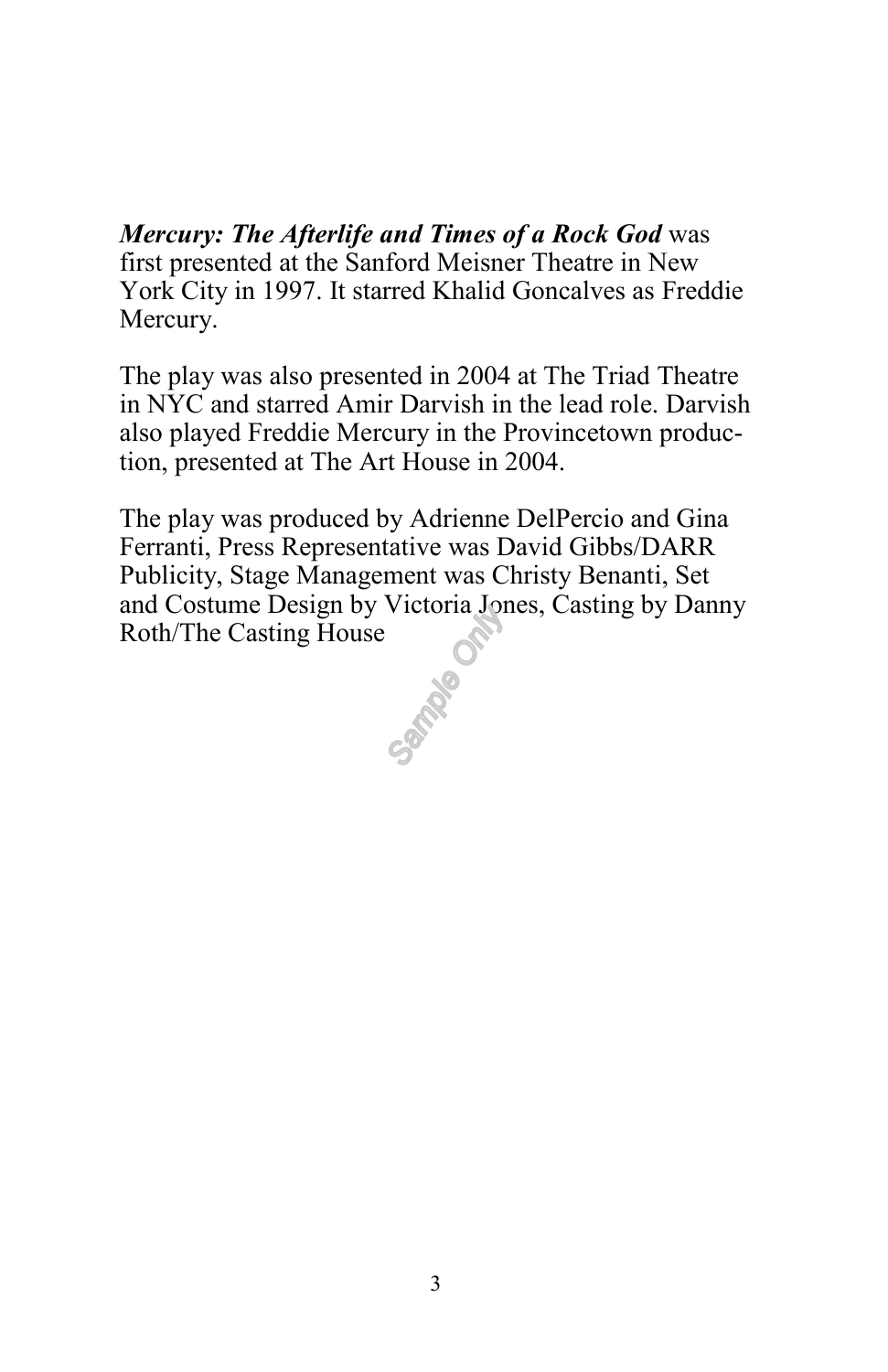*Mercury: The Afterlife and Times of a Rock God* was first presented at the Sanford Meisner Theatre in New York City in 1997. It starred Khalid Goncalves as Freddie Mercury.

The play was also presented in 2004 at The Triad Theatre in NYC and starred Amir Darvish in the lead role. Darvish also played Freddie Mercury in the Provincetown production, presented at The Art House in 2004.

The play was produced by Adrienne DelPercio and Gina Ferranti, Press Representative was David Gibbs/DARR Publicity, Stage Management was Christy Benanti, Set and Costume Design by Victoria Jones, Casting by Danny Roth/The Casting House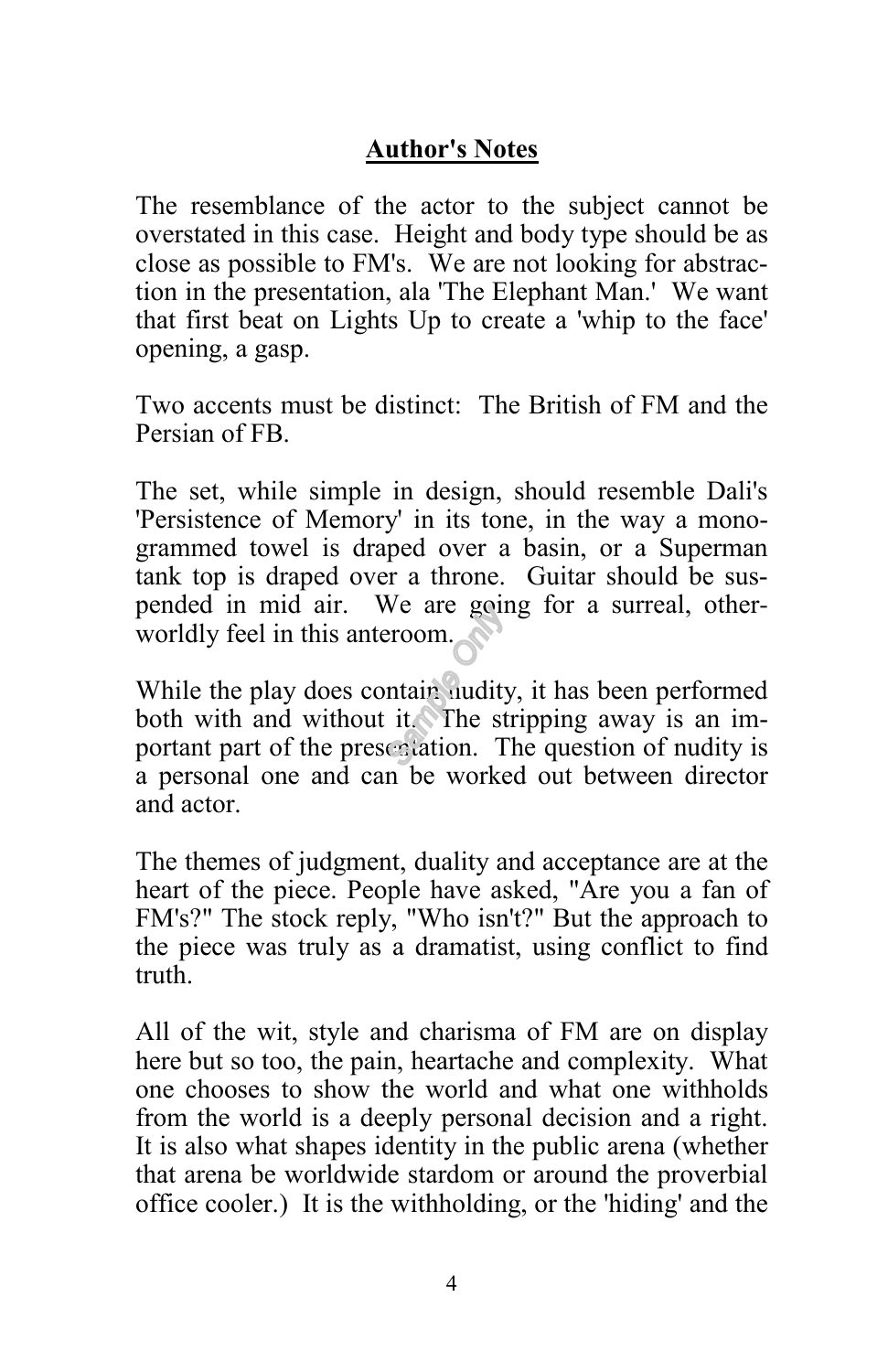#### **Author's Notes**

The resemblance of the actor to the subject cannot be overstated in this case. Height and body type should be as close as possible to FM's. We are not looking for abstraction in the presentation, ala 'The Elephant Man.' We want that first beat on Lights Up to create a 'whip to the face' opening, a gasp.

Two accents must be distinct: The British of FM and the Persian of FB.

The set, while simple in design, should resemble Dali's 'Persistence of Memory' in its tone, in the way a monogrammed towel is draped over a basin, or a Superman tank top is draped over a throne. Guitar should be suspended in mid air. We are going for a surreal, otherworldly feel in this anteroom.

While the play does contain nudity, it has been performed both with and without it. The stripping away is an important part of the presentation. The question of nudity is a personal one and can be worked out between director and actor.

The themes of judgment, duality and acceptance are at the heart of the piece. People have asked, "Are you a fan of FM's?" The stock reply, "Who isn't?" But the approach to the piece was truly as a dramatist, using conflict to find truth.

All of the wit, style and charisma of FM are on display here but so too, the pain, heartache and complexity. What one chooses to show the world and what one withholds from the world is a deeply personal decision and a right. It is also what shapes identity in the public arena (whether that arena be worldwide stardom or around the proverbial office cooler.) It is the withholding, or the 'hiding' and the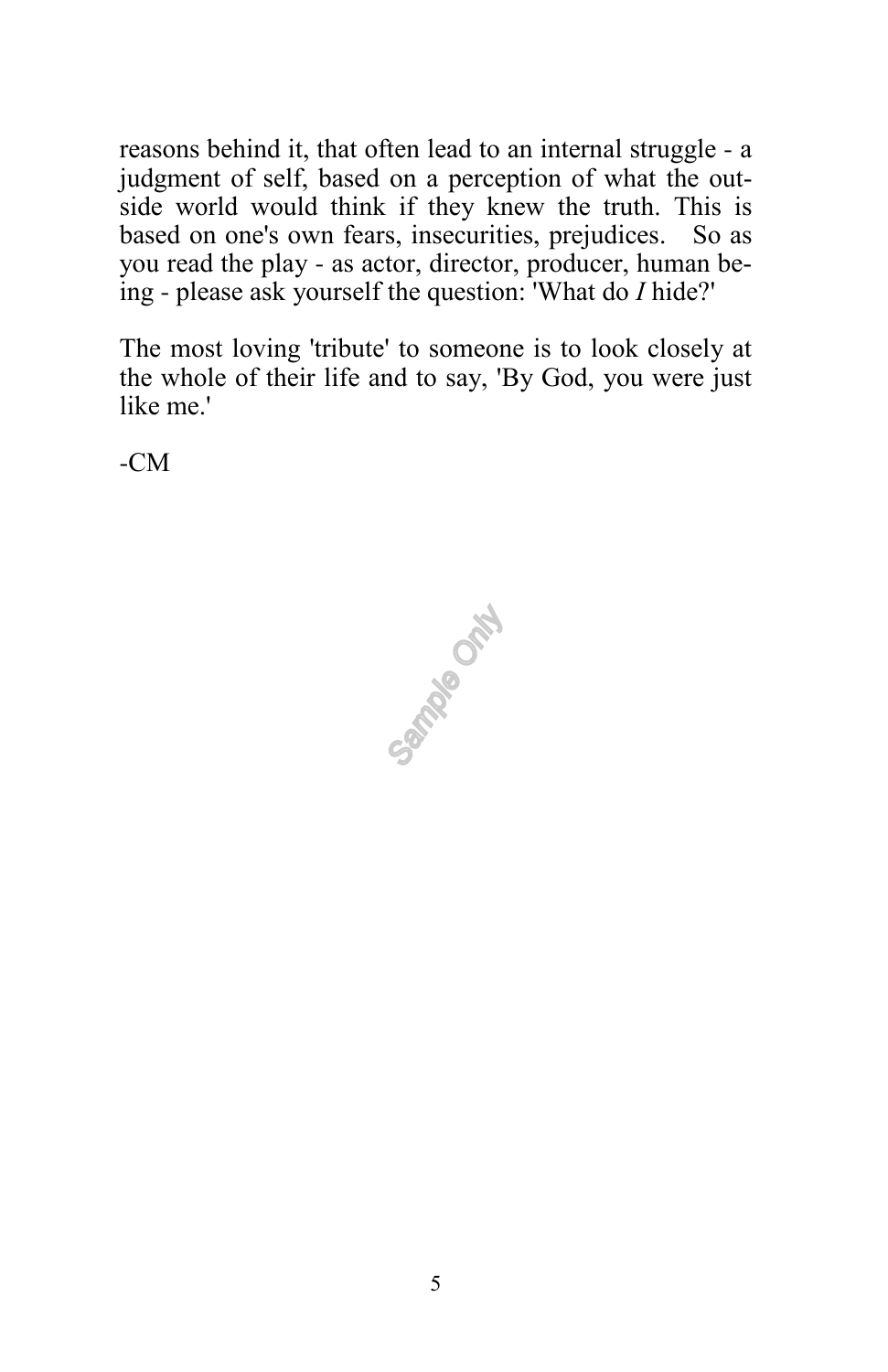reasons behind it, that often lead to an internal struggle - a judgment of self, based on a perception of what the outside world would think if they knew the truth. This is based on one's own fears, insecurities, prejudices. So as you read the play - as actor, director, producer, human being - please ask yourself the question: 'What do *I* hide?'

The most loving 'tribute' to someone is to look closely at the whole of their life and to say, 'By God, you were just like me.'

-CM

Campia Ont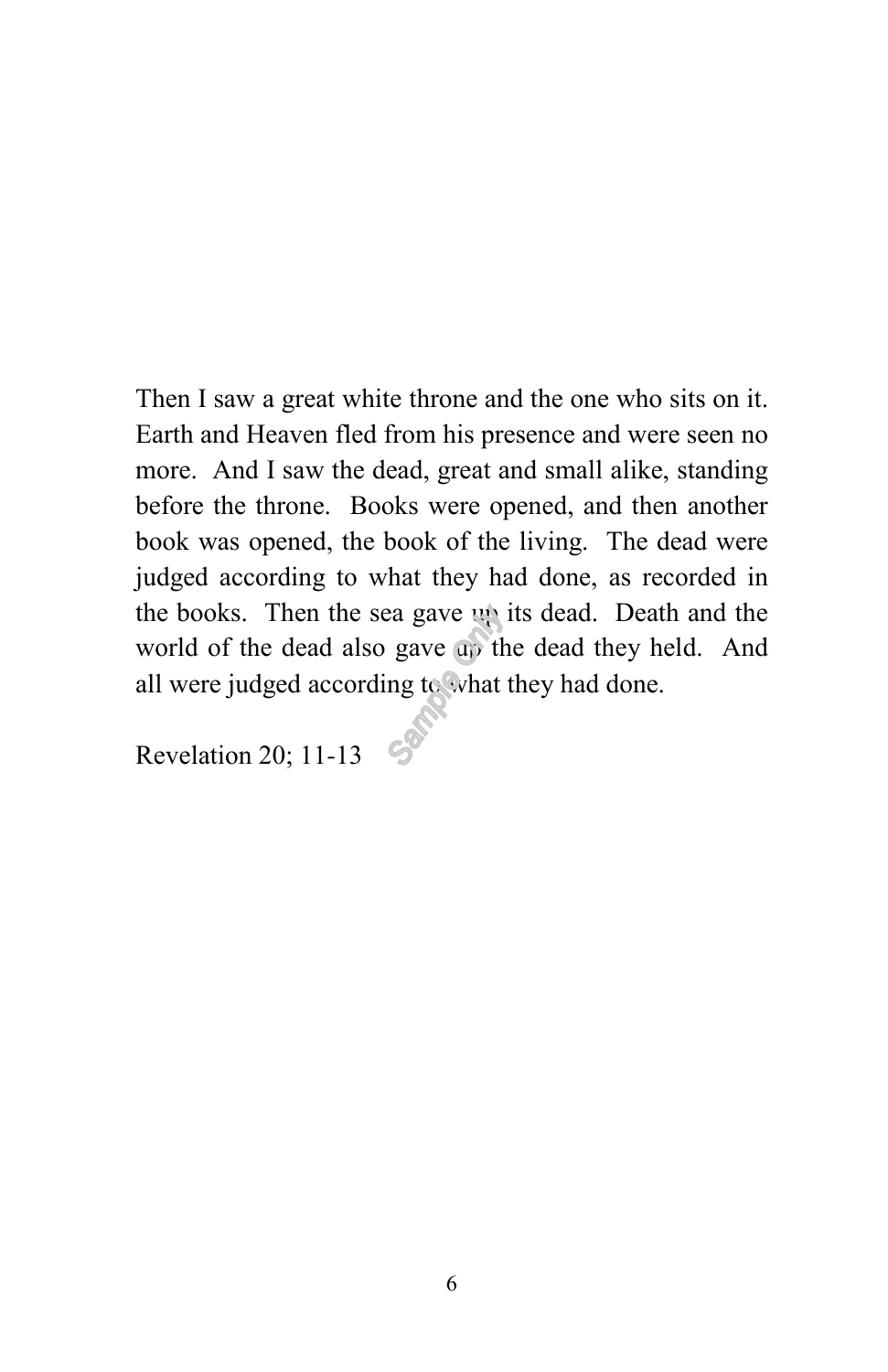Then I saw a great white throne and the one who sits on it. Earth and Heaven fled from his presence and were seen no more. And I saw the dead, great and small alike, standing before the throne. Books were opened, and then another book was opened, the book of the living. The dead were judged according to what they had done, as recorded in the books. Then the sea gave up its dead. Death and the world of the dead also gave up the dead they held. And all were judged according to what they had done.

Revelation 20; 11-13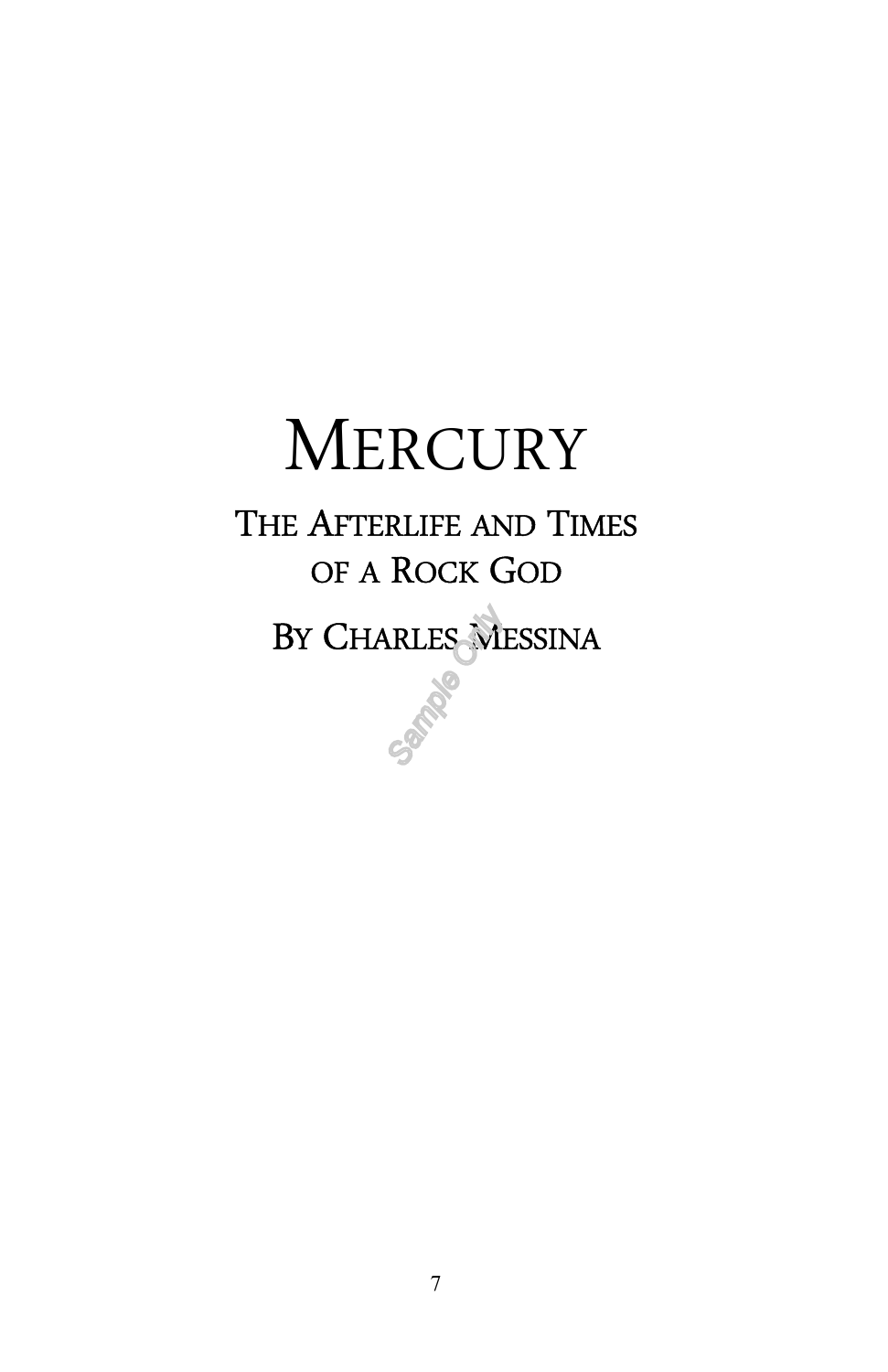# **MERCURY** THE AFTERLIFE AND TIMES OF A ROCK GOD BY CHARLES MESSINA

**PATRIC**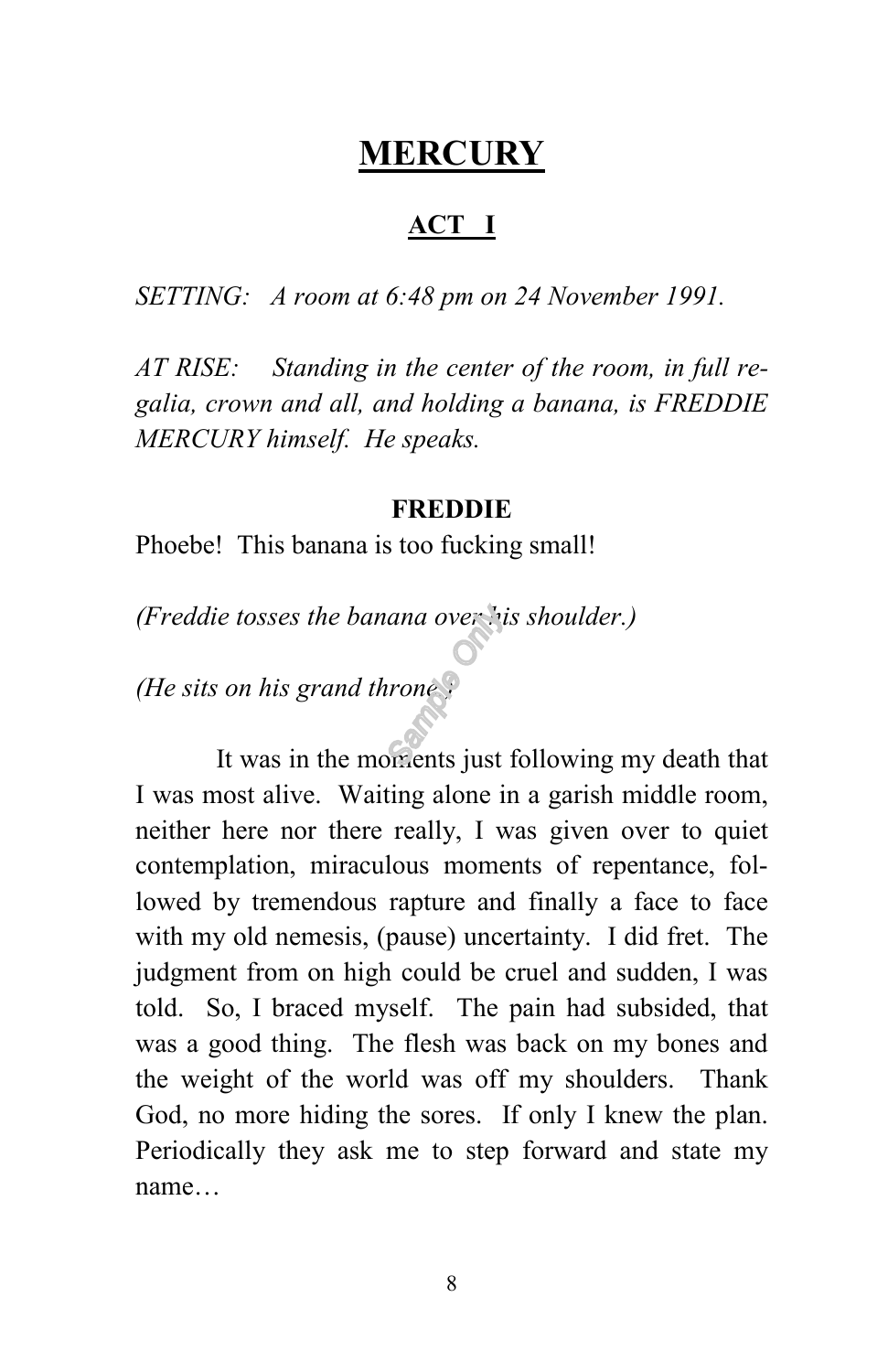## **MERCURY**

#### **ACT I**

*SETTING: A room at 6:48 pm on 24 November 1991.*

*AT RISE: Standing in the center of the room, in full regalia, crown and all, and holding a banana, is FREDDIE MERCURY himself. He speaks.*

#### **FREDDIE**

Phoebe! This banana is too fucking small!

*(Freddie tosses the banana over his shoulder.)*

*(He sits on his grand throne.)*

It was in the moments just following my death that I was most alive. Waiting alone in a garish middle room, neither here nor there really, I was given over to quiet contemplation, miraculous moments of repentance, followed by tremendous rapture and finally a face to face with my old nemesis, (pause) uncertainty. I did fret. The judgment from on high could be cruel and sudden, I was told. So, I braced myself. The pain had subsided, that was a good thing. The flesh was back on my bones and the weight of the world was off my shoulders. Thank God, no more hiding the sores. If only I knew the plan. Periodically they ask me to step forward and state my name…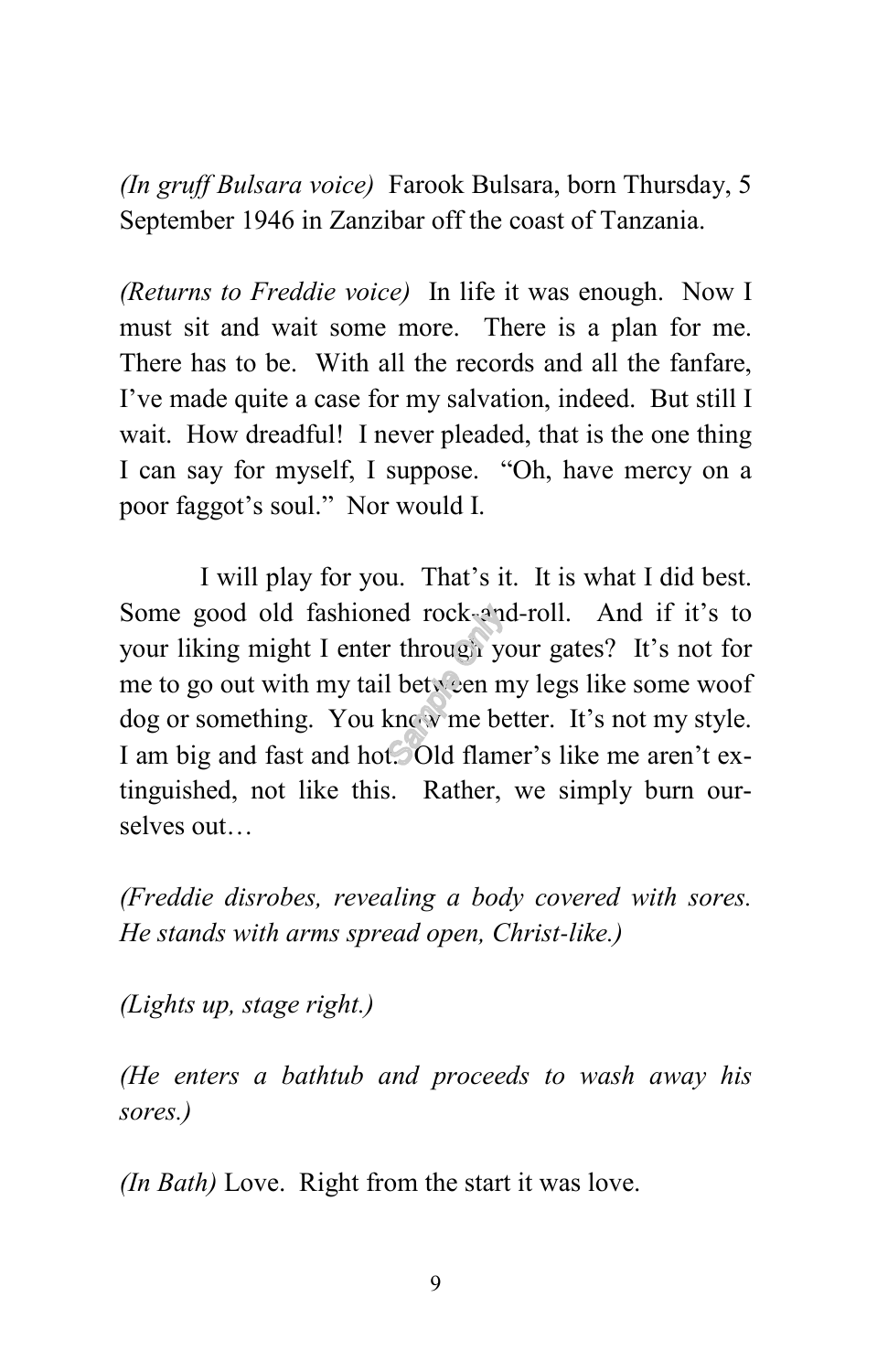*(In gruff Bulsara voice)* Farook Bulsara, born Thursday, 5 September 1946 in Zanzibar off the coast of Tanzania.

*(Returns to Freddie voice)* In life it was enough. Now I must sit and wait some more. There is a plan for me. There has to be. With all the records and all the fanfare, I've made quite a case for my salvation, indeed. But still I wait. How dreadful! I never pleaded, that is the one thing I can say for myself, I suppose. "Oh, have mercy on a poor faggot's soul." Nor would I.

I will play for you. That's it. It is what I did best. Some good old fashioned rock-and-roll. And if it's to your liking might I enter through your gates? It's not for me to go out with my tail between my legs like some woof dog or something. You know me better. It's not my style. I am big and fast and hot. Old flamer's like me aren't extinguished, not like this. Rather, we simply burn ourselves out…

*(Freddie disrobes, revealing a body covered with sores. He stands with arms spread open, Christ-like.)*

*(Lights up, stage right.)*

*(He enters a bathtub and proceeds to wash away his sores.)*

*(In Bath)* Love. Right from the start it was love.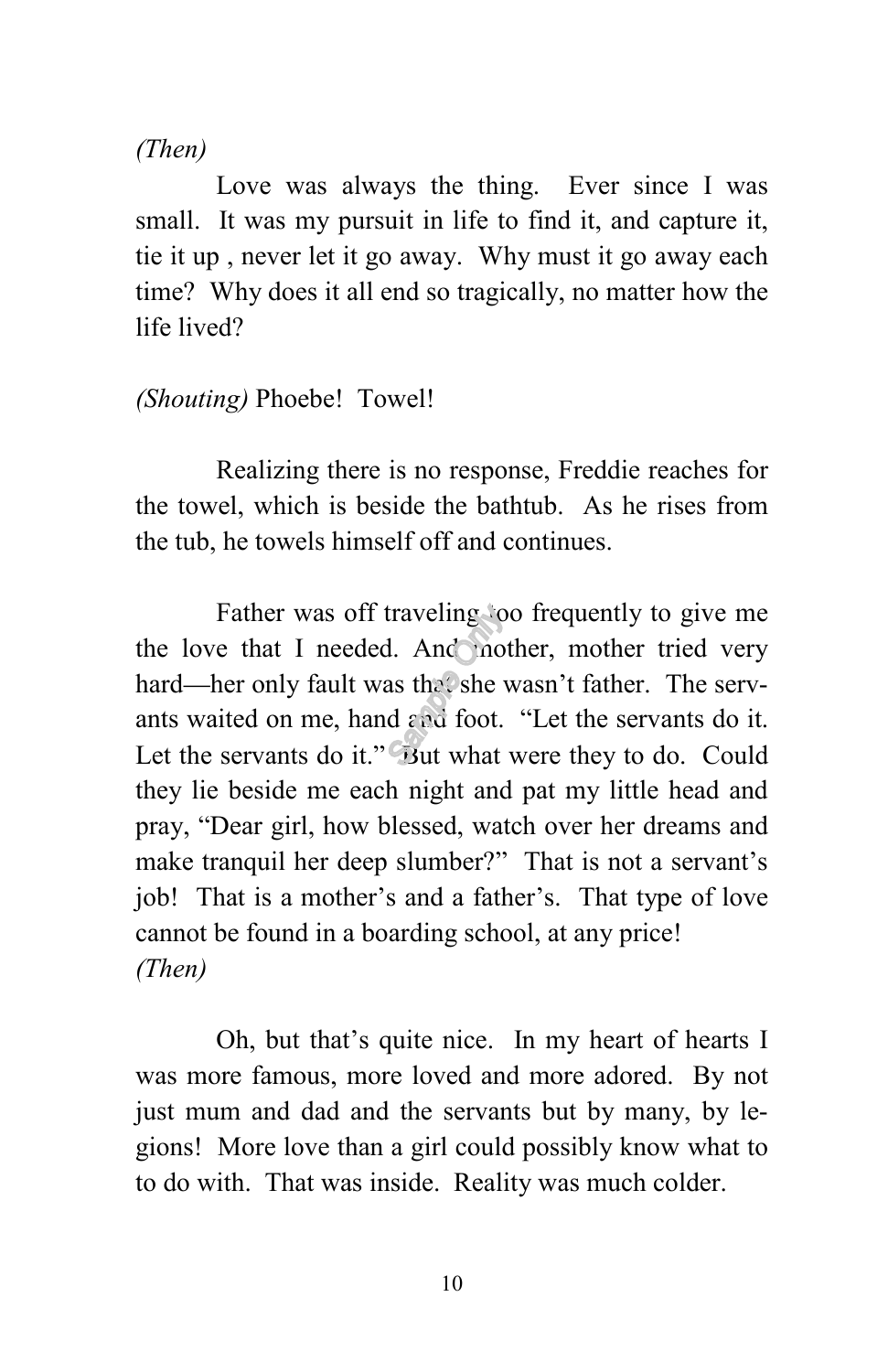*(Then)*

Love was always the thing. Ever since I was small. It was my pursuit in life to find it, and capture it, tie it up , never let it go away. Why must it go away each time? Why does it all end so tragically, no matter how the life lived?

*(Shouting)* Phoebe! Towel!

Realizing there is no response, Freddie reaches for the towel, which is beside the bathtub. As he rises from the tub, he towels himself off and continues.

Father was off traveling too frequently to give me the love that I needed. And mother, mother tried very hard—her only fault was that she wasn't father. The servants waited on me, hand and foot. "Let the servants do it. Let the servants do it." But what were they to do. Could they lie beside me each night and pat my little head and pray, "Dear girl, how blessed, watch over her dreams and make tranquil her deep slumber?" That is not a servant's job! That is a mother's and a father's. That type of love cannot be found in a boarding school, at any price! *(Then)*

Oh, but that's quite nice. In my heart of hearts I was more famous, more loved and more adored. By not just mum and dad and the servants but by many, by legions! More love than a girl could possibly know what to to do with. That was inside. Reality was much colder.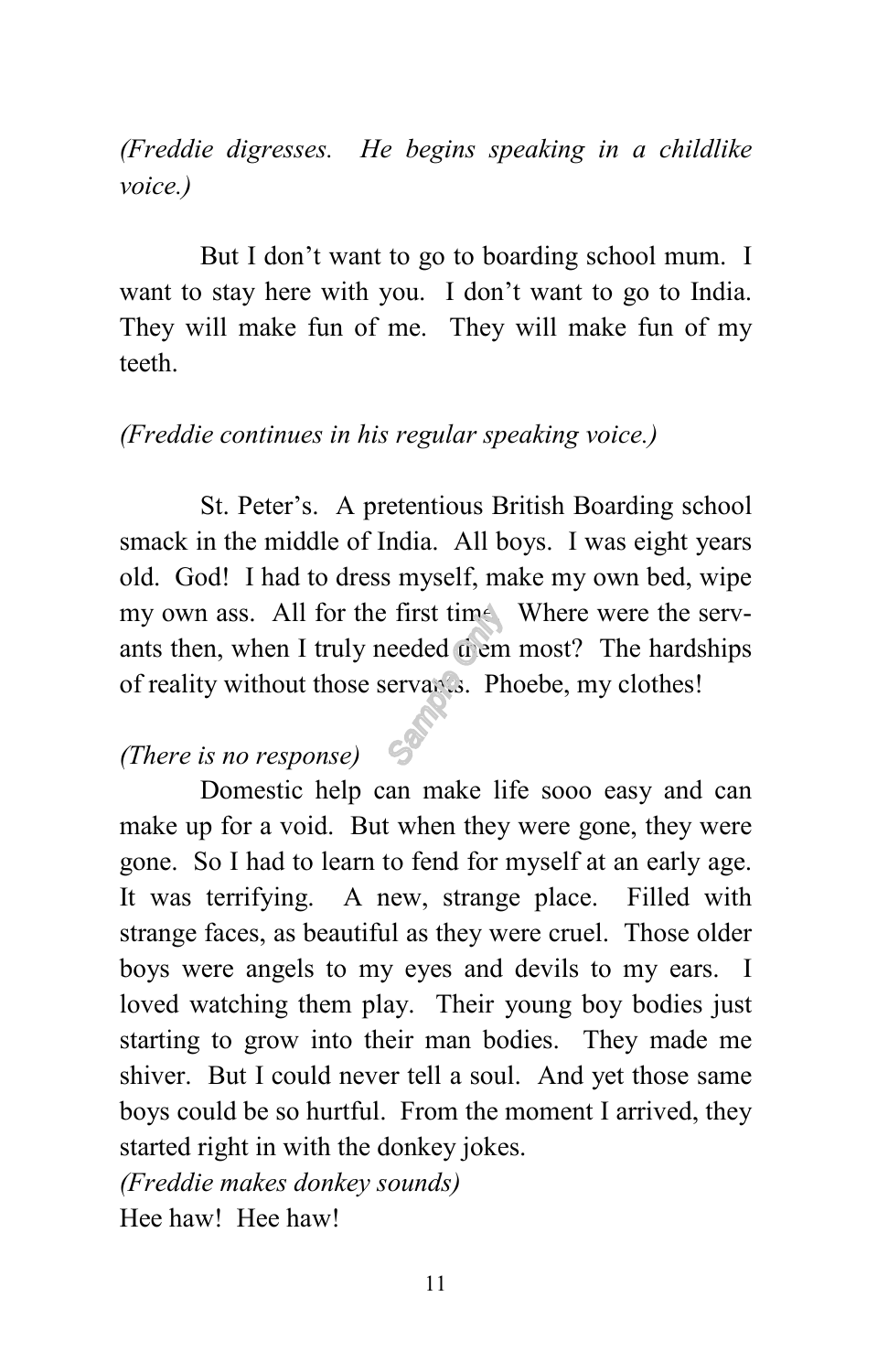*(Freddie digresses. He begins speaking in a childlike voice.)*

But I don't want to go to boarding school mum. I want to stay here with you. I don't want to go to India. They will make fun of me. They will make fun of my teeth.

#### *(Freddie continues in his regular speaking voice.)*

St. Peter's. A pretentious British Boarding school smack in the middle of India. All boys. I was eight years old. God! I had to dress myself, make my own bed, wipe my own ass. All for the first time. Where were the servants then, when I truly needed them most? The hardships of reality without those servants. Phoebe, my clothes!

#### *(There is no response)*

Domestic help can make life sooo easy and can make up for a void. But when they were gone, they were gone. So I had to learn to fend for myself at an early age. It was terrifying. A new, strange place. Filled with strange faces, as beautiful as they were cruel. Those older boys were angels to my eyes and devils to my ears. I loved watching them play. Their young boy bodies just starting to grow into their man bodies. They made me shiver. But I could never tell a soul. And yet those same boys could be so hurtful. From the moment I arrived, they started right in with the donkey jokes.

*(Freddie makes donkey sounds)*

Hee haw! Hee haw!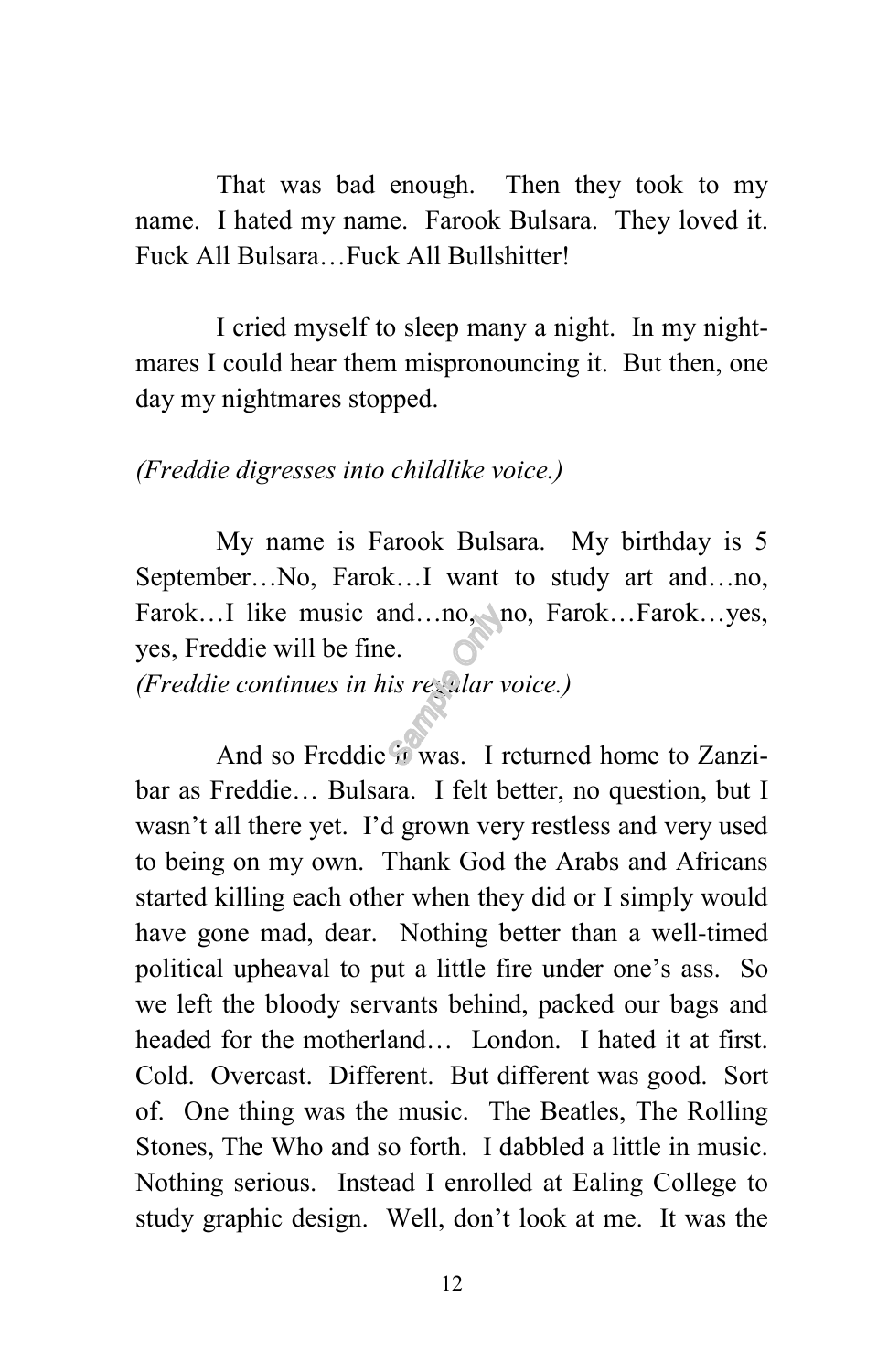That was bad enough. Then they took to my name. I hated my name. Farook Bulsara. They loved it. Fuck All Bulsara…Fuck All Bullshitter!

I cried myself to sleep many a night. In my nightmares I could hear them mispronouncing it. But then, one day my nightmares stopped.

#### *(Freddie digresses into childlike voice.)*

My name is Farook Bulsara. My birthday is 5 September…No, Farok…I want to study art and…no, Farok...I like music and...no, no, Farok...Farok...yes, yes, Freddie will be fine.

*(Freddie continues in his regular voice.)*

And so Freddie it was. I returned home to Zanzibar as Freddie… Bulsara. I felt better, no question, but I wasn't all there yet. I'd grown very restless and very used to being on my own. Thank God the Arabs and Africans started killing each other when they did or I simply would have gone mad, dear. Nothing better than a well-timed political upheaval to put a little fire under one's ass. So we left the bloody servants behind, packed our bags and headed for the motherland… London. I hated it at first. Cold. Overcast. Different. But different was good. Sort of. One thing was the music. The Beatles, The Rolling Stones, The Who and so forth. I dabbled a little in music. Nothing serious. Instead I enrolled at Ealing College to study graphic design. Well, don't look at me. It was the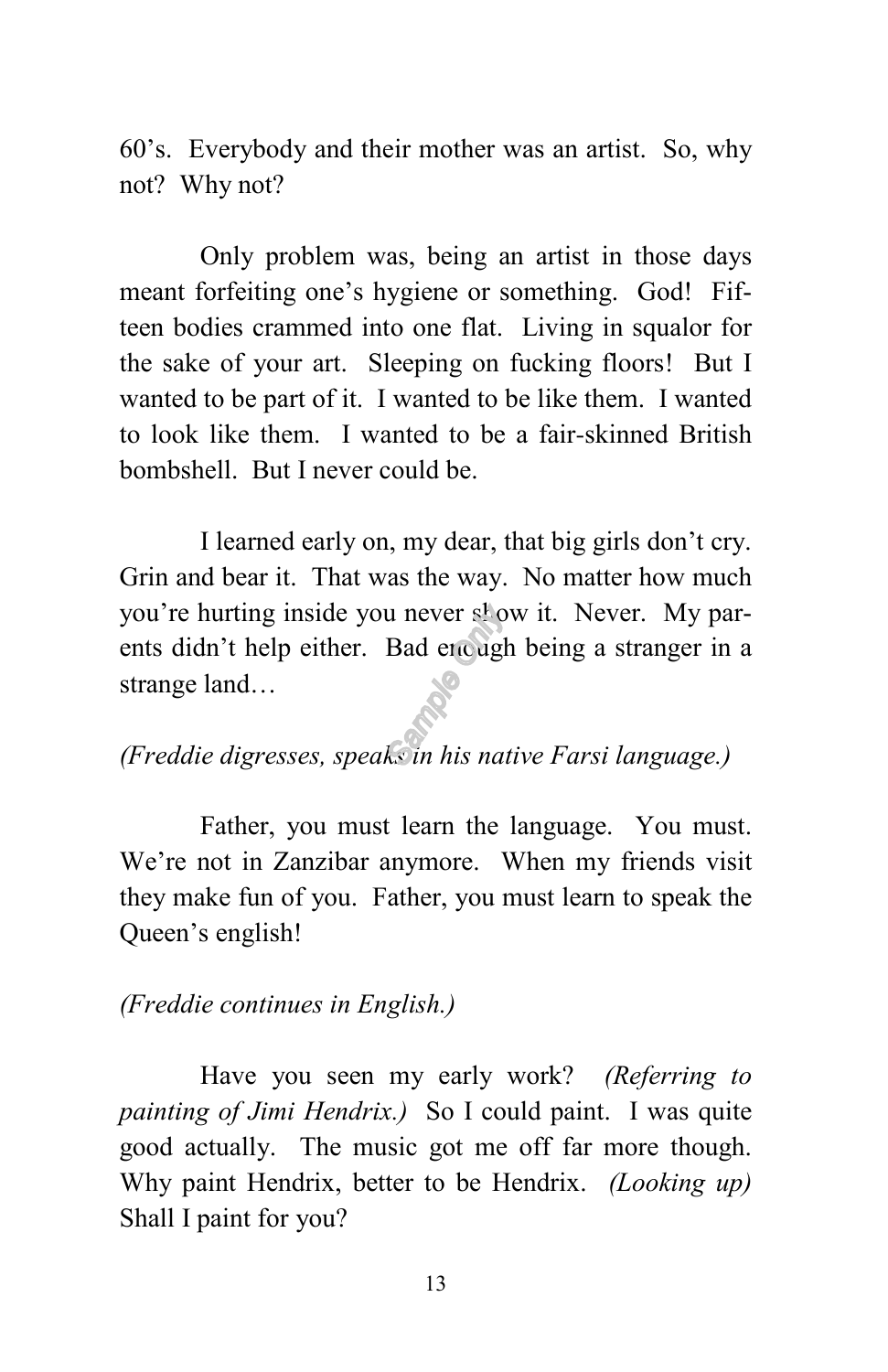60's. Everybody and their mother was an artist. So, why not? Why not?

Only problem was, being an artist in those days meant forfeiting one's hygiene or something. God! Fifteen bodies crammed into one flat. Living in squalor for the sake of your art. Sleeping on fucking floors! But I wanted to be part of it. I wanted to be like them. I wanted to look like them. I wanted to be a fair-skinned British bombshell. But I never could be.

I learned early on, my dear, that big girls don't cry. Grin and bear it. That was the way. No matter how much you're hurting inside you never show it. Never. My parents didn't help either. Bad enough being a stranger in a strange land…

### *(Freddie digresses, speaks in his native Farsi language.)*

Father, you must learn the language. You must. We're not in Zanzibar anymore. When my friends visit they make fun of you. Father, you must learn to speak the Queen's english!

#### *(Freddie continues in English.)*

Have you seen my early work? *(Referring to painting of Jimi Hendrix.)* So I could paint. I was quite good actually. The music got me off far more though. Why paint Hendrix, better to be Hendrix. *(Looking up)* Shall I paint for you?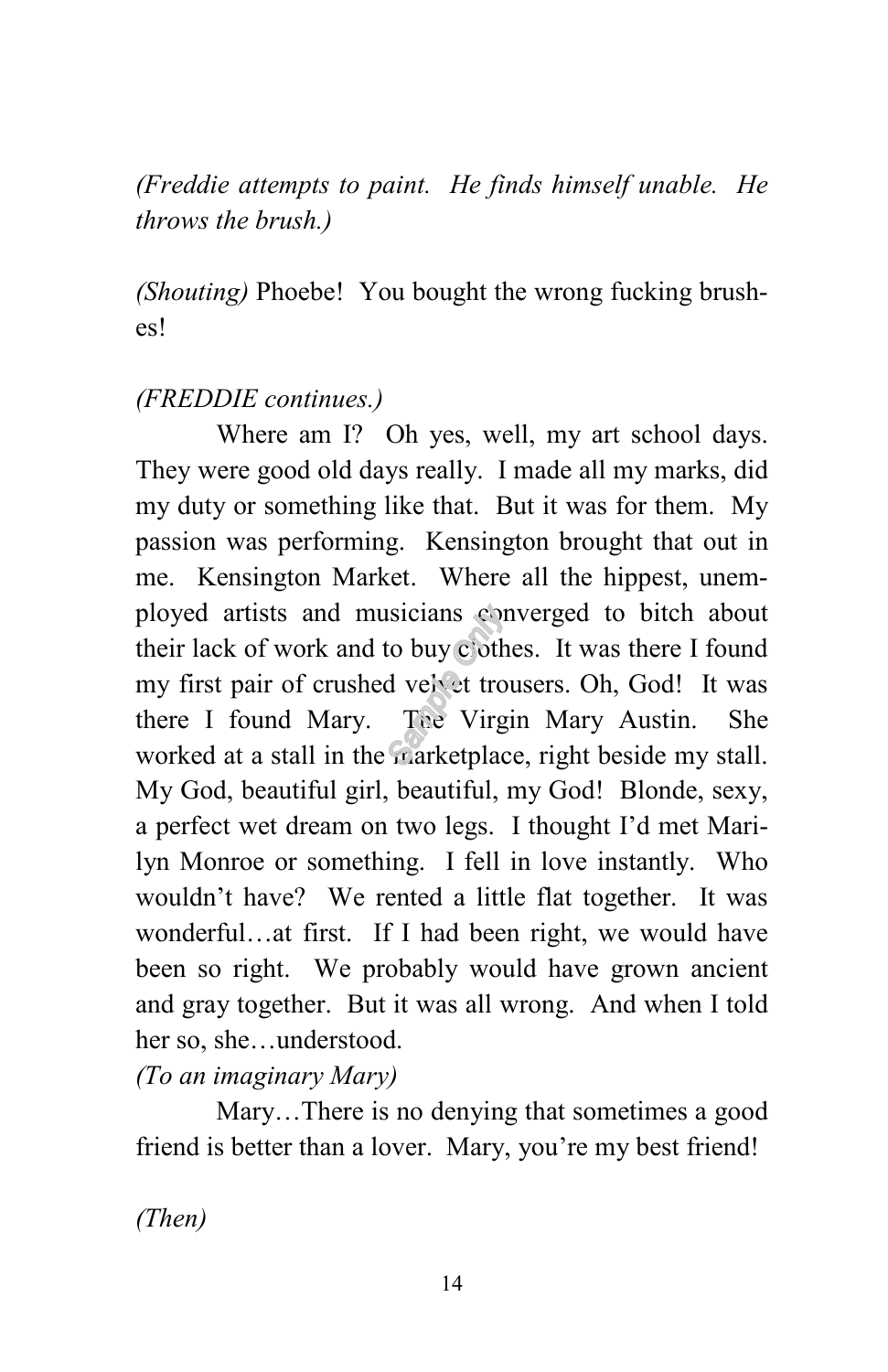*(Freddie attempts to paint. He finds himself unable. He throws the brush.)*

*(Shouting)* Phoebe! You bought the wrong fucking brushes!

#### *(FREDDIE continues.)*

Where am I? Oh yes, well, my art school days. They were good old days really. I made all my marks, did my duty or something like that. But it was for them. My passion was performing. Kensington brought that out in me. Kensington Market. Where all the hippest, unemployed artists and musicians converged to bitch about their lack of work and to buy clothes. It was there I found my first pair of crushed velvet trousers. Oh, God! It was there I found Mary. The Virgin Mary Austin. She worked at a stall in the marketplace, right beside my stall. My God, beautiful girl, beautiful, my God! Blonde, sexy, a perfect wet dream on two legs. I thought I'd met Marilyn Monroe or something. I fell in love instantly. Who wouldn't have? We rented a little flat together. It was wonderful…at first. If I had been right, we would have been so right. We probably would have grown ancient and gray together. But it was all wrong. And when I told her so, she…understood.

*(To an imaginary Mary)* 

Mary…There is no denying that sometimes a good friend is better than a lover. Mary, you're my best friend!

*(Then)*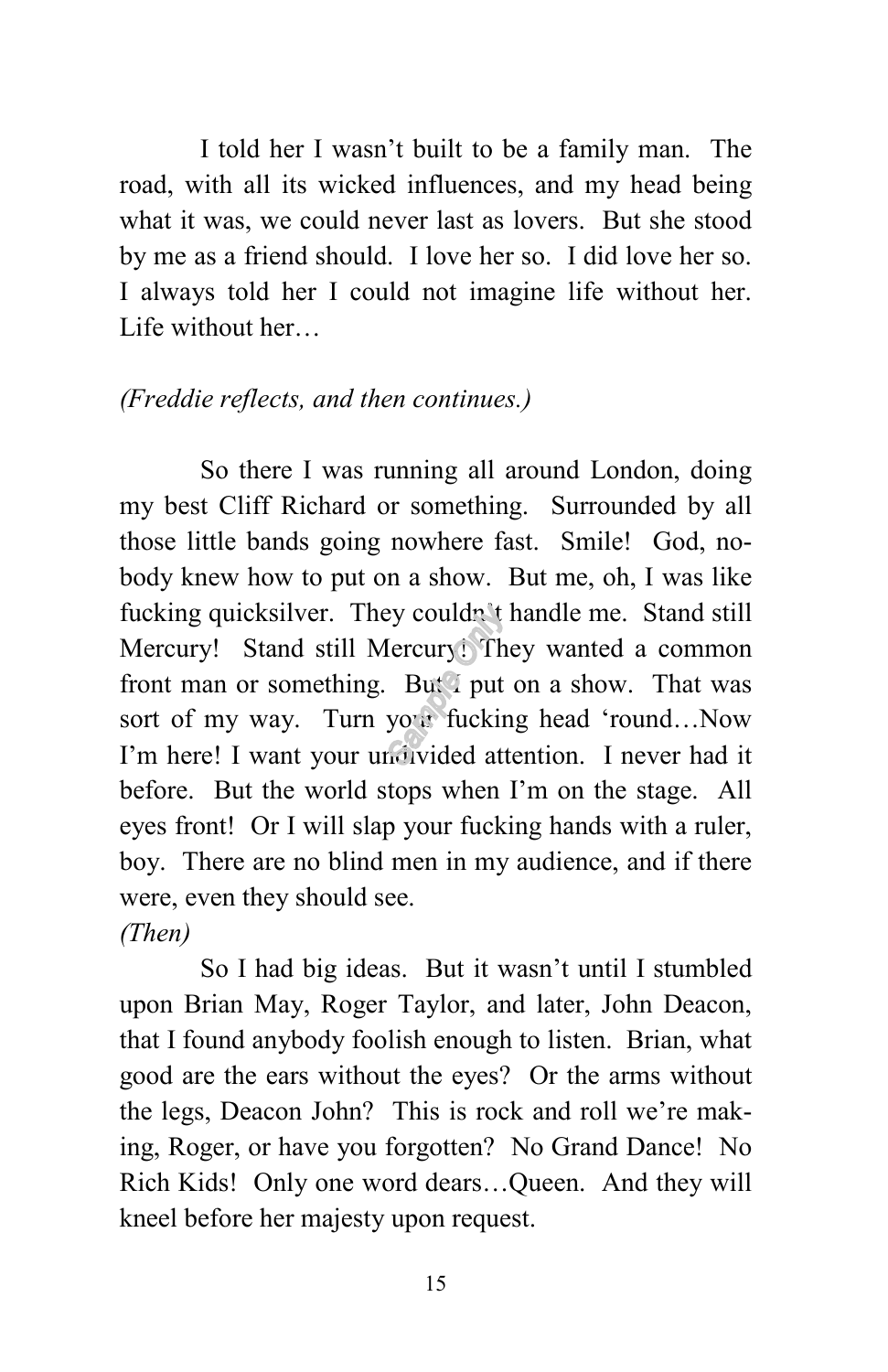I told her I wasn't built to be a family man. The road, with all its wicked influences, and my head being what it was, we could never last as lovers. But she stood by me as a friend should. I love her so. I did love her so. I always told her I could not imagine life without her. Life without her…

#### *(Freddie reflects, and then continues.)*

So there I was running all around London, doing my best Cliff Richard or something. Surrounded by all those little bands going nowhere fast. Smile! God, nobody knew how to put on a show. But me, oh, I was like fucking quicksilver. They couldn't handle me. Stand still Mercury! Stand still Mercury! They wanted a common front man or something. But I put on a show. That was sort of my way. Turn your fucking head 'round…Now I'm here! I want your undivided attention. I never had it before. But the world stops when I'm on the stage. All eyes front! Or I will slap your fucking hands with a ruler, boy. There are no blind men in my audience, and if there were, even they should see. *(Then)*

So I had big ideas. But it wasn't until I stumbled upon Brian May, Roger Taylor, and later, John Deacon, that I found anybody foolish enough to listen. Brian, what good are the ears without the eyes? Or the arms without the legs, Deacon John? This is rock and roll we're making, Roger, or have you forgotten? No Grand Dance! No Rich Kids! Only one word dears…Queen. And they will kneel before her majesty upon request.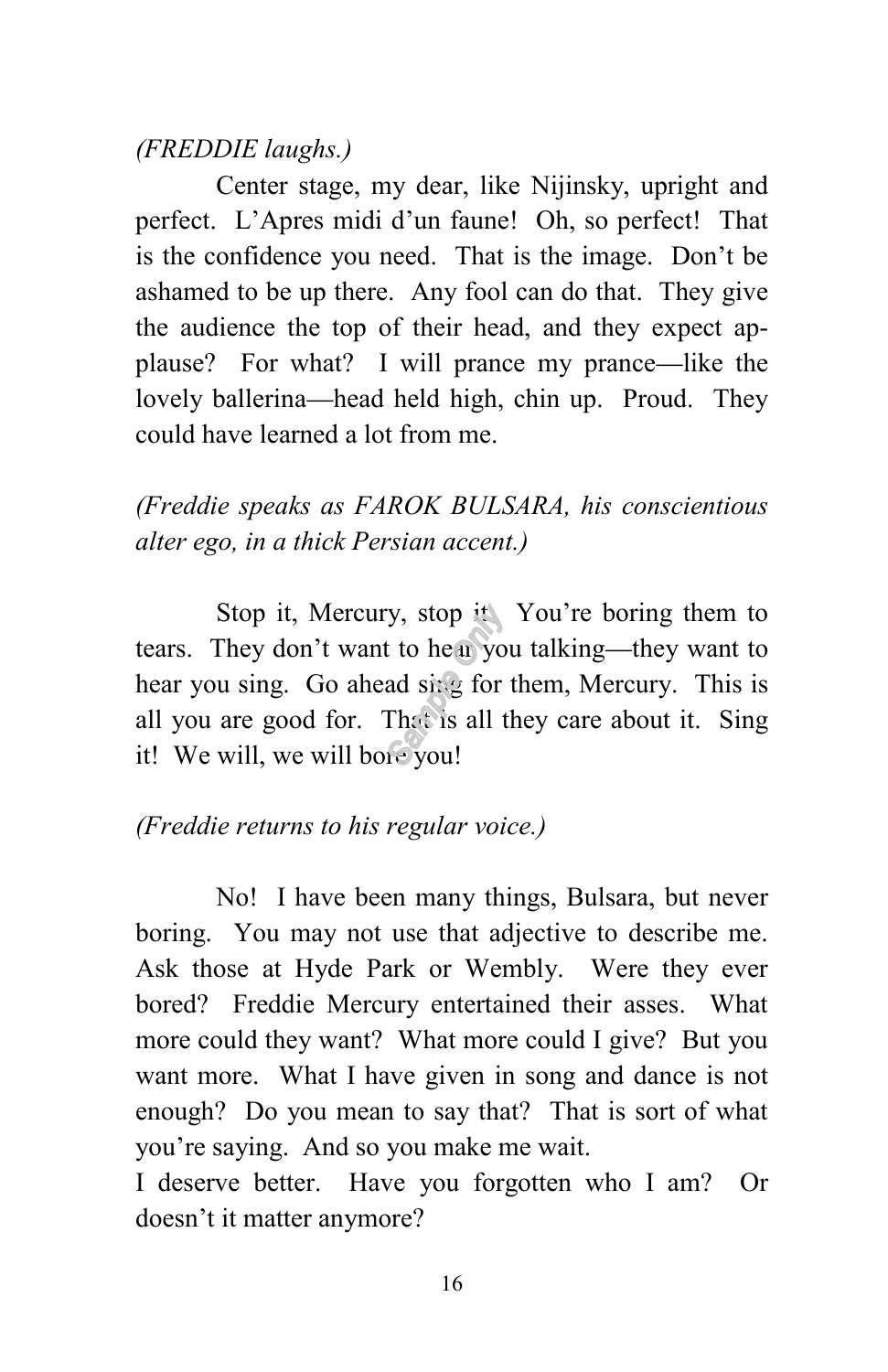#### *(FREDDIE laughs.)*

Center stage, my dear, like Nijinsky, upright and perfect. L'Apres midi d'un faune! Oh, so perfect! That is the confidence you need. That is the image. Don't be ashamed to be up there. Any fool can do that. They give the audience the top of their head, and they expect applause? For what? I will prance my prance—like the lovely ballerina—head held high, chin up. Proud. They could have learned a lot from me.

*(Freddie speaks as FAROK BULSARA, his conscientious alter ego, in a thick Persian accent.)*

Stop it, Mercury, stop it. You're boring them to tears. They don't want to hear you talking—they want to hear you sing. Go ahead sing for them, Mercury. This is all you are good for. That is all they care about it. Sing it! We will, we will bore you!

#### *(Freddie returns to his regular voice.)*

No! I have been many things, Bulsara, but never boring. You may not use that adjective to describe me. Ask those at Hyde Park or Wembly. Were they ever bored? Freddie Mercury entertained their asses. What more could they want? What more could I give? But you want more. What I have given in song and dance is not enough? Do you mean to say that? That is sort of what you're saying. And so you make me wait.

I deserve better. Have you forgotten who I am? Or doesn't it matter anymore?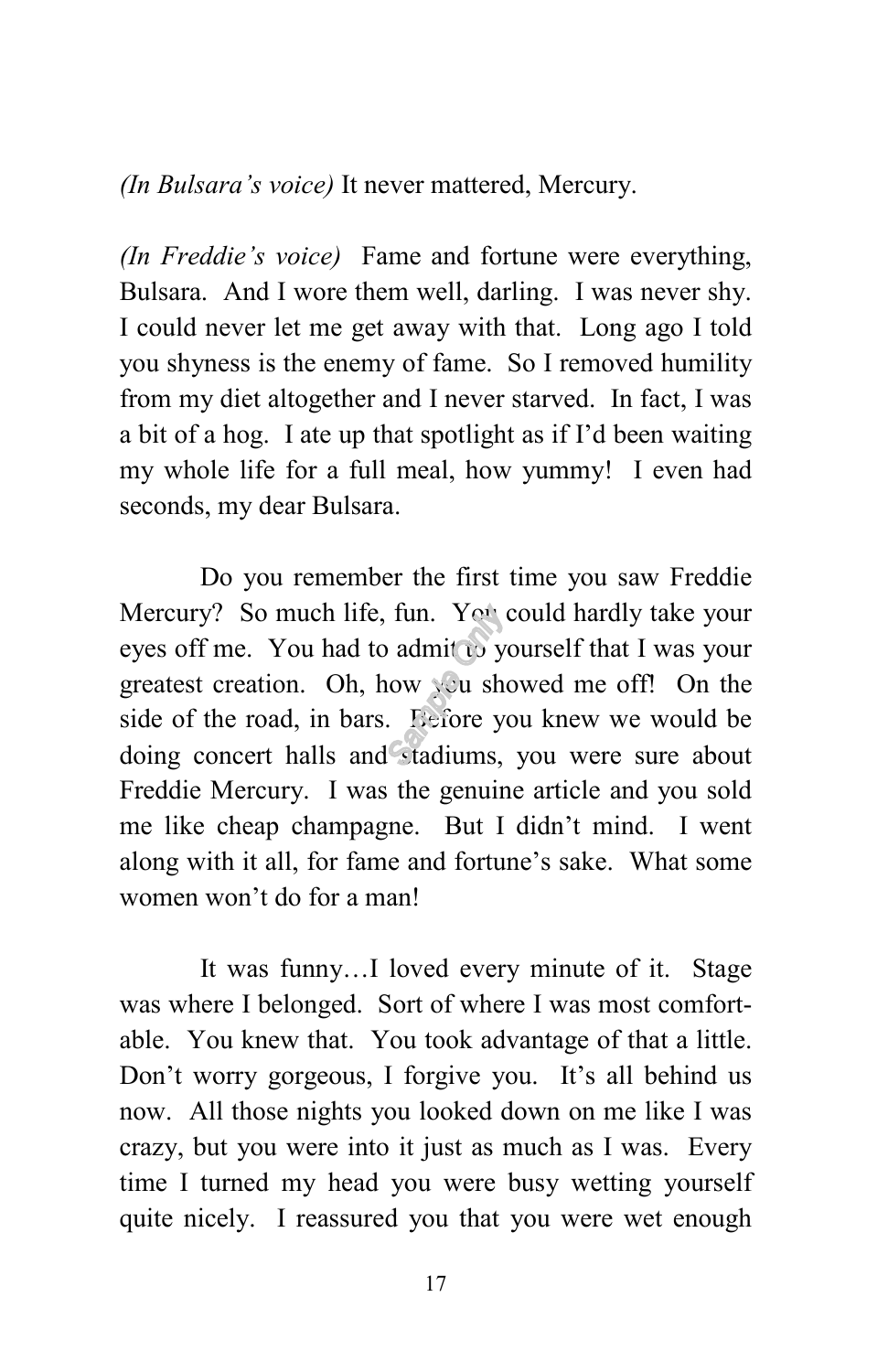*(In Bulsara's voice)* It never mattered, Mercury.

*(In Freddie's voice)* Fame and fortune were everything, Bulsara. And I wore them well, darling. I was never shy. I could never let me get away with that. Long ago I told you shyness is the enemy of fame. So I removed humility from my diet altogether and I never starved. In fact, I was a bit of a hog. I ate up that spotlight as if I'd been waiting my whole life for a full meal, how yummy! I even had seconds, my dear Bulsara.

Do you remember the first time you saw Freddie Mercury? So much life, fun. You could hardly take your eyes off me. You had to admit to yourself that I was your greatest creation. Oh, how you showed me off! On the side of the road, in bars. Before you knew we would be doing concert halls and stadiums, you were sure about Freddie Mercury. I was the genuine article and you sold me like cheap champagne. But I didn't mind. I went along with it all, for fame and fortune's sake. What some women won't do for a man!

It was funny…I loved every minute of it. Stage was where I belonged. Sort of where I was most comfortable. You knew that. You took advantage of that a little. Don't worry gorgeous, I forgive you. It's all behind us now. All those nights you looked down on me like I was crazy, but you were into it just as much as I was. Every time I turned my head you were busy wetting yourself quite nicely. I reassured you that you were wet enough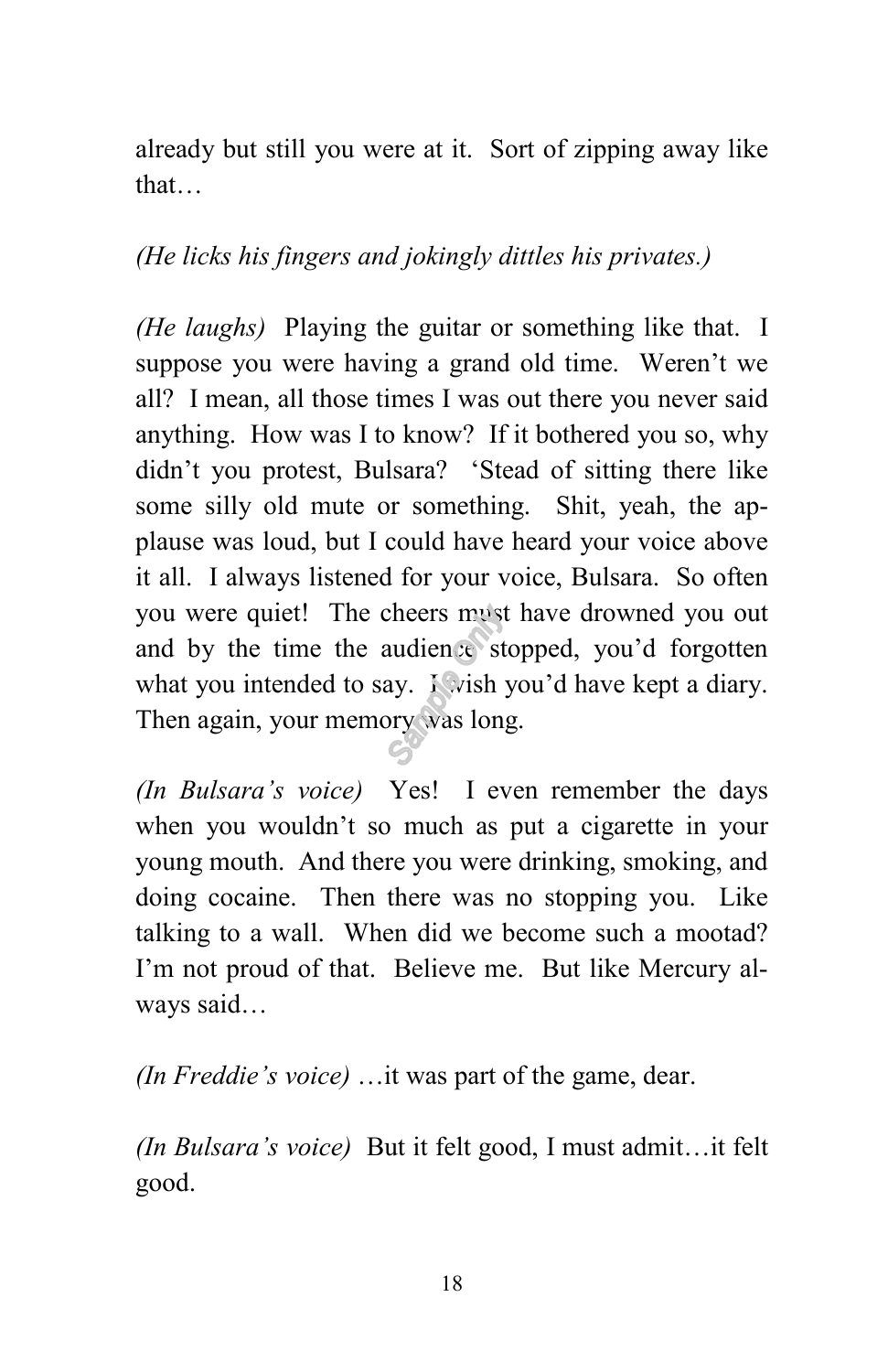already but still you were at it. Sort of zipping away like that…

#### *(He licks his fingers and jokingly dittles his privates.)*

*(He laughs)* Playing the guitar or something like that. I suppose you were having a grand old time. Weren't we all? I mean, all those times I was out there you never said anything. How was I to know? If it bothered you so, why didn't you protest, Bulsara? 'Stead of sitting there like some silly old mute or something. Shit, yeah, the applause was loud, but I could have heard your voice above it all. I always listened for your voice, Bulsara. So often you were quiet! The cheers must have drowned you out and by the time the audience stopped, you'd forgotten what you intended to say. I wish you'd have kept a diary. Then again, your memory was long.

*(In Bulsara's voice)* Yes! I even remember the days when you wouldn't so much as put a cigarette in your young mouth. And there you were drinking, smoking, and doing cocaine. Then there was no stopping you. Like talking to a wall. When did we become such a mootad? I'm not proud of that. Believe me. But like Mercury always said…

*(In Freddie's voice)* …it was part of the game, dear.

*(In Bulsara's voice)* But it felt good, I must admit…it felt good.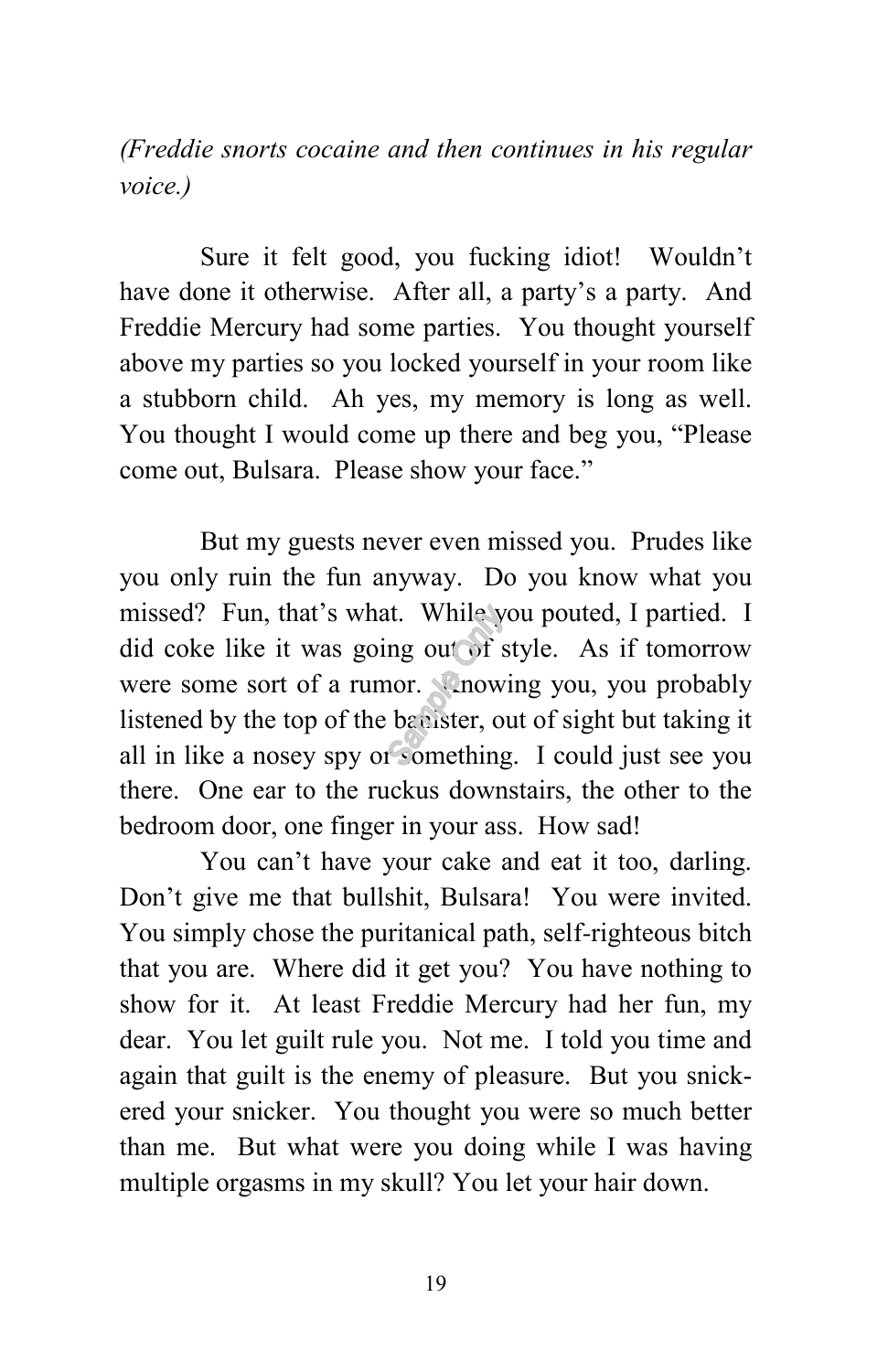*(Freddie snorts cocaine and then continues in his regular voice.)*

Sure it felt good, you fucking idiot! Wouldn't have done it otherwise. After all, a party's a party. And Freddie Mercury had some parties. You thought yourself above my parties so you locked yourself in your room like a stubborn child. Ah yes, my memory is long as well. You thought I would come up there and beg you, "Please come out, Bulsara. Please show your face."

But my guests never even missed you. Prudes like you only ruin the fun anyway. Do you know what you missed? Fun, that's what. While you pouted, I partied. I did coke like it was going out of style. As if tomorrow were some sort of a rumor. Knowing you, you probably listened by the top of the banister, out of sight but taking it all in like a nosey spy or something. I could just see you there. One ear to the ruckus downstairs, the other to the bedroom door, one finger in your ass. How sad!

You can't have your cake and eat it too, darling. Don't give me that bullshit, Bulsara! You were invited. You simply chose the puritanical path, self-righteous bitch that you are. Where did it get you? You have nothing to show for it. At least Freddie Mercury had her fun, my dear. You let guilt rule you. Not me. I told you time and again that guilt is the enemy of pleasure. But you snickered your snicker. You thought you were so much better than me. But what were you doing while I was having multiple orgasms in my skull? You let your hair down.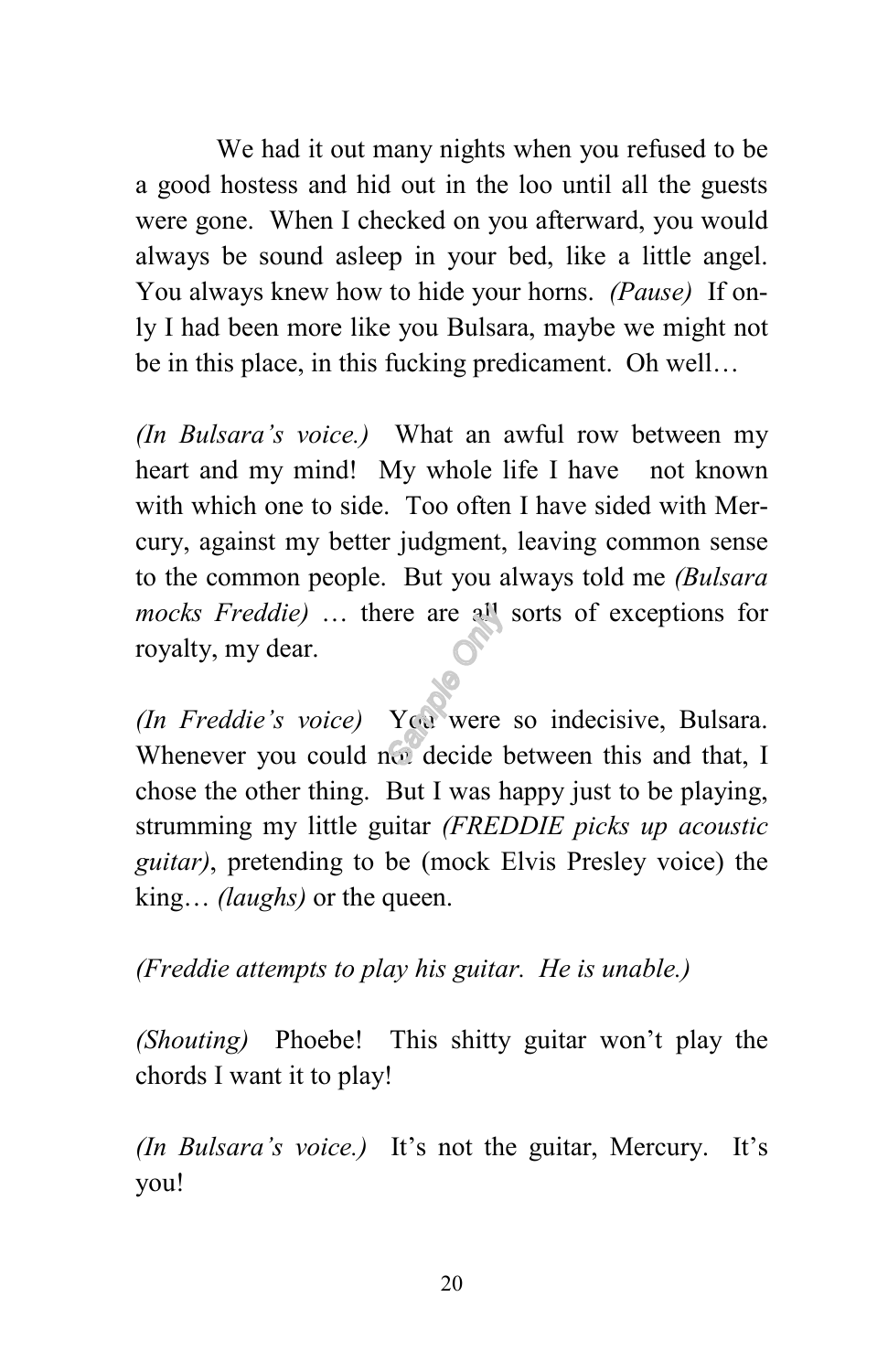We had it out many nights when you refused to be a good hostess and hid out in the loo until all the guests were gone. When I checked on you afterward, you would always be sound asleep in your bed, like a little angel. You always knew how to hide your horns. *(Pause)* If only I had been more like you Bulsara, maybe we might not be in this place, in this fucking predicament. Oh well…

*(In Bulsara's voice.)* What an awful row between my heart and my mind! My whole life I have not known with which one to side. Too often I have sided with Mercury, against my better judgment, leaving common sense to the common people. But you always told me *(Bulsara mocks Freddie)* … there are all sorts of exceptions for royalty, my dear.

*(In Freddie's voice)* You were so indecisive, Bulsara. Whenever you could not decide between this and that, I chose the other thing. But I was happy just to be playing, strumming my little guitar *(FREDDIE picks up acoustic guitar)*, pretending to be (mock Elvis Presley voice) the king... *(laughs)* or the queen.

*(Freddie attempts to play his guitar. He is unable.)*

*(Shouting)* Phoebe! This shitty guitar won't play the chords I want it to play!

*(In Bulsara's voice.)* It's not the guitar, Mercury. It's you!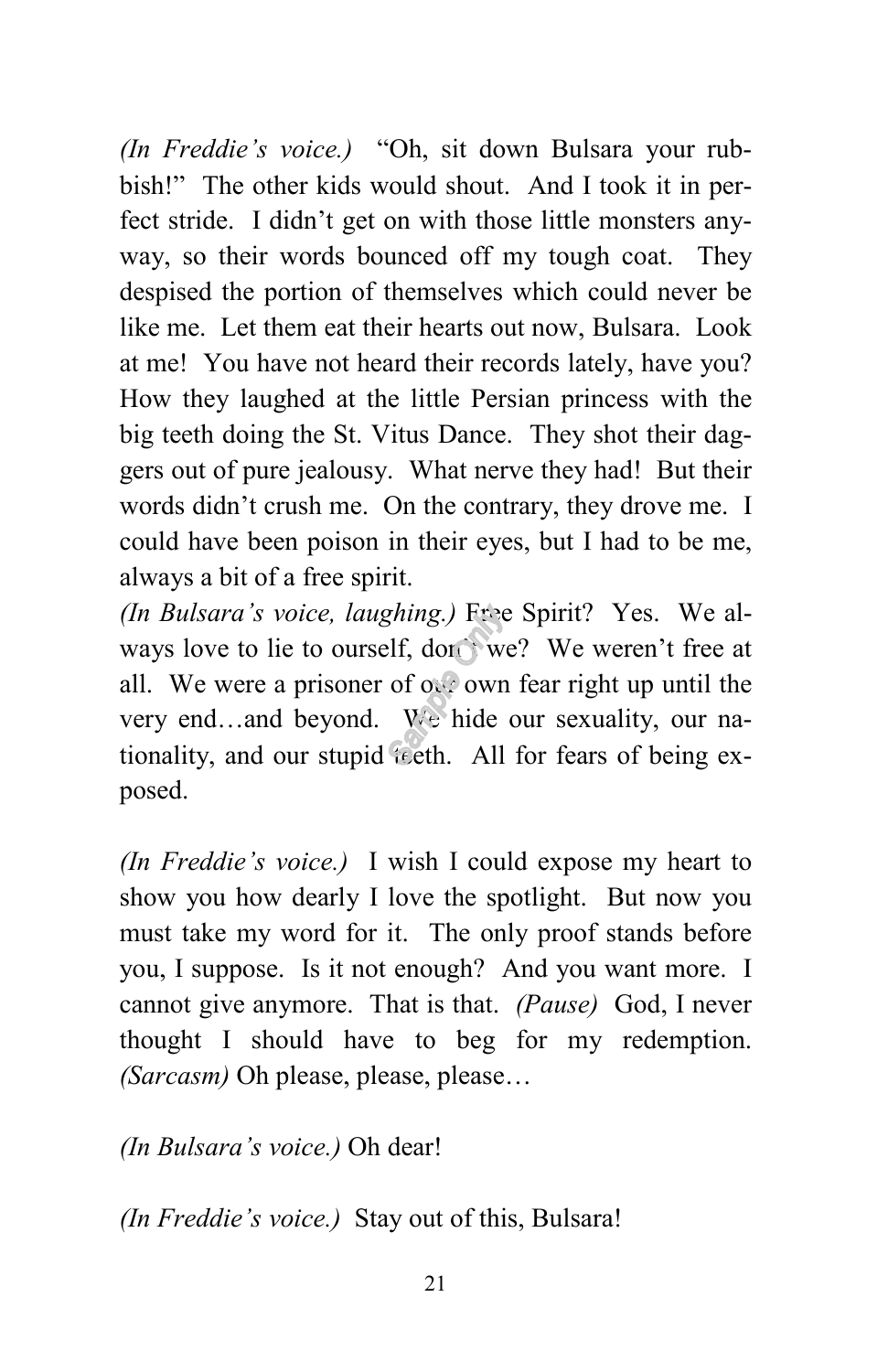*(In Freddie's voice.)* "Oh, sit down Bulsara your rubbish!" The other kids would shout. And I took it in perfect stride. I didn't get on with those little monsters anyway, so their words bounced off my tough coat. They despised the portion of themselves which could never be like me. Let them eat their hearts out now, Bulsara. Look at me! You have not heard their records lately, have you? How they laughed at the little Persian princess with the big teeth doing the St. Vitus Dance. They shot their daggers out of pure jealousy. What nerve they had! But their words didn't crush me. On the contrary, they drove me. I could have been poison in their eyes, but I had to be me, always a bit of a free spirit.

*(In Bulsara's voice, laughing.)* Free Spirit? Yes. We always love to lie to ourself, don't we? We weren't free at all. We were a prisoner of  $\alpha$ , own fear right up until the very end…and beyond. We hide our sexuality, our nationality, and our stupid teeth. All for fears of being exposed.

*(In Freddie's voice.)* I wish I could expose my heart to show you how dearly I love the spotlight. But now you must take my word for it. The only proof stands before you, I suppose. Is it not enough? And you want more. I cannot give anymore. That is that. *(Pause)* God, I never thought I should have to beg for my redemption. *(Sarcasm)* Oh please, please, please…

*(In Bulsara's voice.)* Oh dear!

*(In Freddie's voice.)* Stay out of this, Bulsara!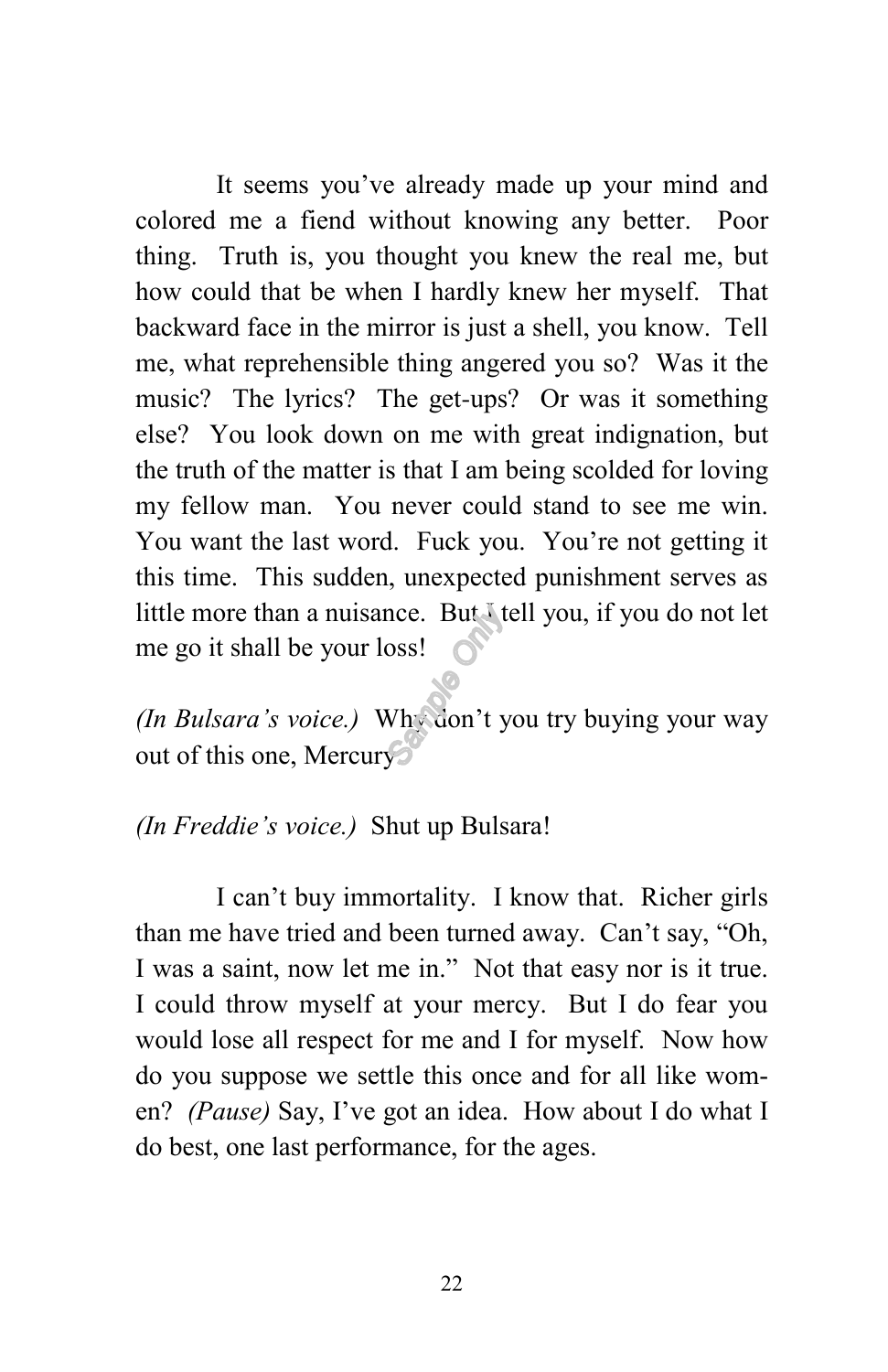It seems you've already made up your mind and colored me a fiend without knowing any better. Poor thing. Truth is, you thought you knew the real me, but how could that be when I hardly knew her myself. That backward face in the mirror is just a shell, you know. Tell me, what reprehensible thing angered you so? Was it the music? The lyrics? The get-ups? Or was it something else? You look down on me with great indignation, but the truth of the matter is that I am being scolded for loving my fellow man. You never could stand to see me win. You want the last word. Fuck you. You're not getting it this time. This sudden, unexpected punishment serves as little more than a nuisance. But I tell you, if you do not let me go it shall be your loss!

*(In Bulsara's voice.)* Why don't you try buying your way out of this one, Mercury.

*(In Freddie's voice.)* Shut up Bulsara!

I can't buy immortality. I know that. Richer girls than me have tried and been turned away. Can't say, "Oh, I was a saint, now let me in." Not that easy nor is it true. I could throw myself at your mercy. But I do fear you would lose all respect for me and I for myself. Now how do you suppose we settle this once and for all like women? *(Pause)* Say, I've got an idea. How about I do what I do best, one last performance, for the ages.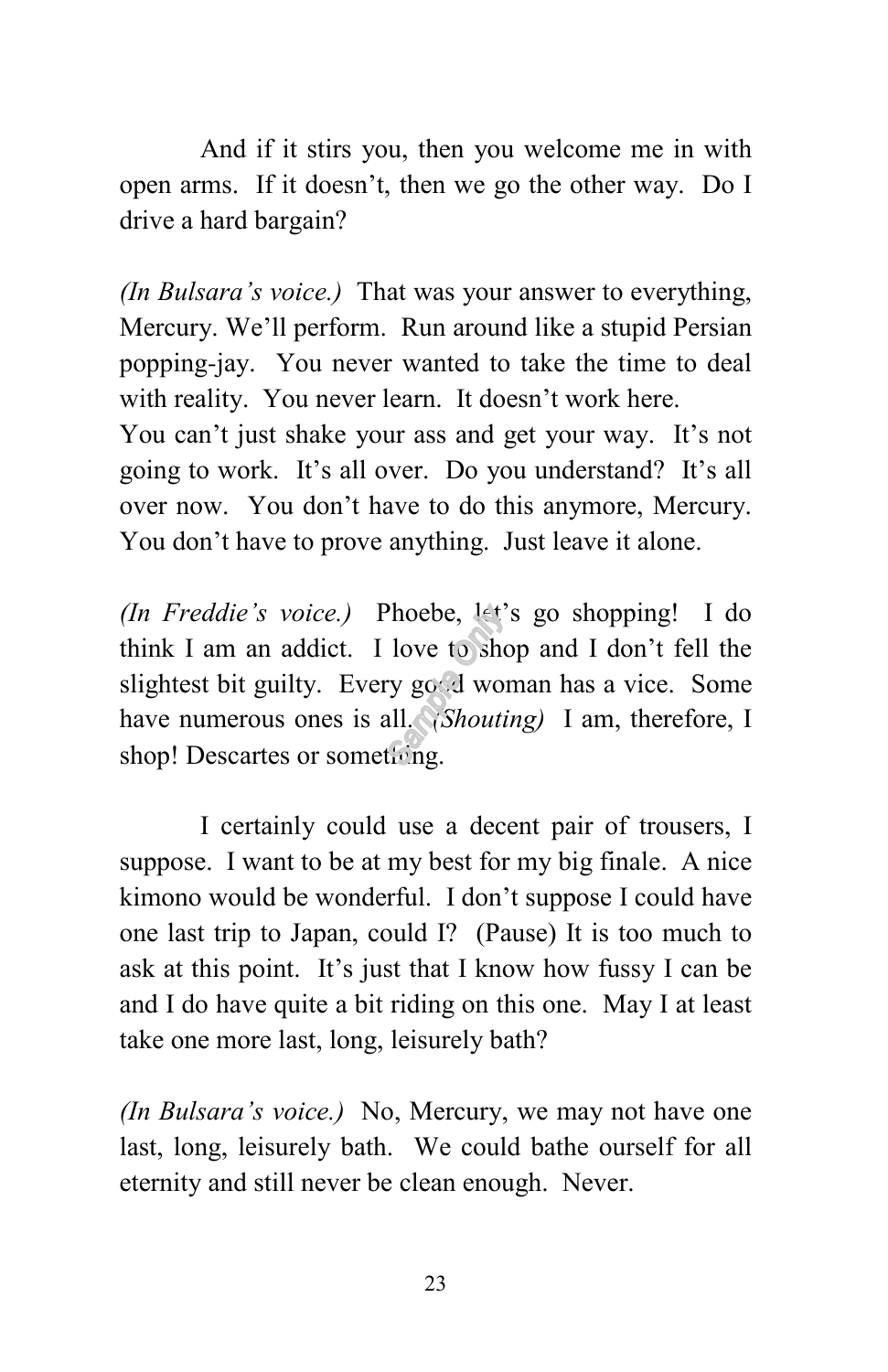And if it stirs you, then you welcome me in with open arms. If it doesn't, then we go the other way. Do I drive a hard bargain?

*(In Bulsara's voice.)* That was your answer to everything, Mercury. We'll perform. Run around like a stupid Persian popping-jay. You never wanted to take the time to deal with reality. You never learn. It doesn't work here. You can't just shake your ass and get your way. It's not going to work. It's all over. Do you understand? It's all

over now. You don't have to do this anymore, Mercury. You don't have to prove anything. Just leave it alone.

*(In Freddie's voice.)* Phoebe, let's go shopping! I do think I am an addict. I love to shop and I don't fell the slightest bit guilty. Every good woman has a vice. Some have numerous ones is all. *(Shouting)* I am, therefore, I shop! Descartes or something.

I certainly could use a decent pair of trousers, I suppose. I want to be at my best for my big finale. A nice kimono would be wonderful. I don't suppose I could have one last trip to Japan, could I? (Pause) It is too much to ask at this point. It's just that I know how fussy I can be and I do have quite a bit riding on this one. May I at least take one more last, long, leisurely bath?

*(In Bulsara's voice.)* No, Mercury, we may not have one last, long, leisurely bath. We could bathe ourself for all eternity and still never be clean enough. Never.